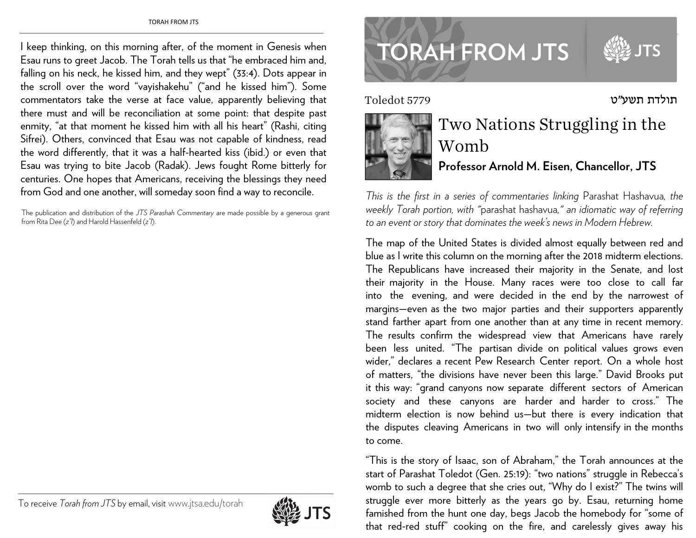I keep thinking, on this morning after, of the moment in Genesis when Esau runs to greet Jacob. The Torah tells us that "he embraced him and, falling on his neck, he kissed him, and they wept" (33:4). Dots appear in the scroll over the word "vayishakehu" ("and he kissed him"). Some commentators take the verse at face value, apparently believing that there must and will be reconciliation at some point: that despite past enmity, "at that moment he kissed him with all his heart" (Rashi, citing Sifrei). Others, convinced that Esau was not capable of kindness, read the word differently, that it was a half-hearted kiss (ibid.) or even that Esau was trying to bite Jacob (Radak). Jews fought Rome bitterly for centuries. One hopes that Americans, receiving the blessings they need from God and one another, will someday soon find a way to reconcile.

The publication and distribution of the *JTS Parashah Commentary* are made possible by a generous grant from Rita Dee (*z"l*) and Harold Hassenfeld (*z"l*).

## To receive *Torah from JTS* by email, visitwww.jtsa.edu/torah



## **TORAH FROM JTS**

תולדת תשע"ט ס Toledot 5779

www.jtsa.edu/torah.com



## Two Nations Struggling in the Womb **Professor Arnold M. Eisen, Chancellor, JTS**

*This is the first in a series of commentaries linking* Parashat Hashavua*, the weekly Torah portion, with "*parashat hashavua*," an idiomatic way of referring to an event or story that dominates the week's news in Modern Hebrew.* 

The map of the United States is divided almost equally between red and blue as I write this column on the morning after the 2018 midterm elections. The Republicans have increase<sup>d</sup> their majority in the Senate, and lost their majority in the House. Many races were too close to call far into the evening, and were decided in the end by the narrowest of margins—even as the two major parties and their supporters apparently stand farther apart from one another than at any time in recent memory. The results confirm the widespread view that Americans have rarely been less united. "The partisan divide on political values grows even wider," declares a recent Pew Research Center report. On a whole host of matters, "the divisions have never been this large." David Brooks put it this way: "grand canyons now separate different sectors of American society and these canyons are harder and harder to cross." The midterm election is now behind us—but there is every indication that the disputes cleaving Americans in two will only intensify in the months to come.

"This is the story of Isaac, son of Abraham," the Torah announces at the start of Parashat Toledot (Gen. 25:19): "two nations" struggle in Rebecca's womb to such a degree that she cries out, "Why do I exist?" The twins will struggle ever more bitterly as the years go by. Esau, returning home famished from the hunt one day, begs Jacob the homebody for "some of that red-red stuff" cooking on the fire, and carelessly gives away his